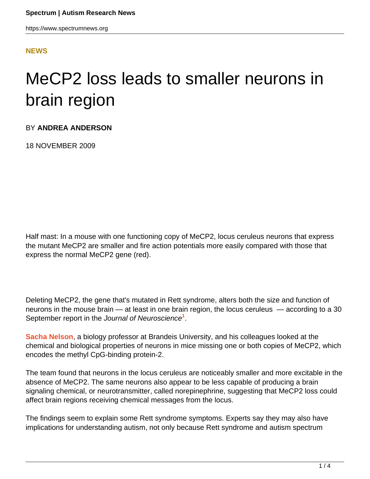### **[NEWS](HTTPS://WWW.SPECTRUMNEWS.ORG/NEWS/)**

# MeCP2 loss leads to smaller neurons in brain region

BY **ANDREA ANDERSON**

18 NOVEMBER 2009

Half mast: In a mouse with one functioning copy of MeCP2, locus ceruleus neurons that express the mutant MeCP2 are smaller and fire action potentials more easily compared with those that express the normal MeCP2 gene (red).

Deleting MeCP2, the gene that's mutated in Rett syndrome, alters both the size and function of neurons in the mouse brain — at least in one brain region, the locus ceruleus — according to a 30 September report in the Journal of Neuroscience<sup>1</sup>.

**[Sacha Nelson](http://www.brandeis.edu/facguide/person.html?emplid=8616511de96051e3992c6d4c60af167f2e70bdcf)**, a biology professor at Brandeis University, and his colleagues looked at the chemical and biological properties of neurons in mice missing one or both copies of MeCP2, which encodes the methyl CpG-binding protein-2.

The team found that neurons in the locus ceruleus are noticeably smaller and more excitable in the absence of MeCP2. The same neurons also appear to be less capable of producing a brain signaling chemical, or neurotransmitter, called norepinephrine, suggesting that MeCP2 loss could affect brain regions receiving chemical messages from the locus.

The findings seem to explain some Rett syndrome symptoms. Experts say they may also have implications for understanding autism, not only because Rett syndrome and autism spectrum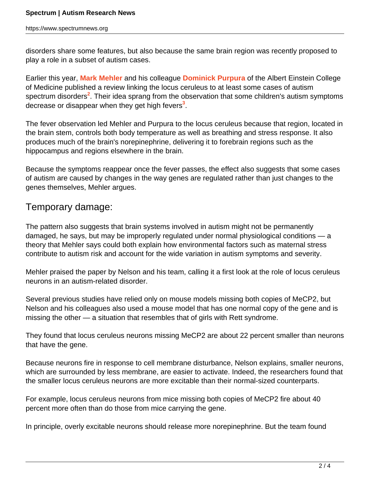disorders share some features, but also because the same brain region was recently proposed to play a role in a subset of autism cases.

Earlier this year, **[Mark Mehler](http://www.einstein.yu.edu/Neurology/faculty_details.aspx?id=1583)** and his colleague **[Dominick Purpura](http://www.einstein.yu.edu/home/faculty/profile.asp?id=1446)** of the Albert Einstein College of Medicine published a review linking the locus ceruleus to at least some cases of autism spectrum disorders<sup>2</sup>. Their idea sprang from the observation that some children's autism symptoms decrease or disappear when they get high fevers**<sup>3</sup>** .

The fever observation led Mehler and Purpura to the locus ceruleus because that region, located in the brain stem, controls both body temperature as well as breathing and stress response. It also produces much of the brain's norepinephrine, delivering it to forebrain regions such as the hippocampus and regions elsewhere in the brain.

Because the symptoms reappear once the fever passes, the effect also suggests that some cases of autism are caused by changes in the way genes are regulated rather than just changes to the genes themselves, Mehler argues.

# Temporary damage:

The pattern also suggests that brain systems involved in autism might not be permanently damaged, he says, but may be improperly regulated under normal physiological conditions — a theory that Mehler says could both explain how environmental factors such as maternal stress contribute to autism risk and account for the wide variation in autism symptoms and severity.

Mehler praised the paper by Nelson and his team, calling it a first look at the role of locus ceruleus neurons in an autism-related disorder.

Several previous studies have relied only on mouse models missing both copies of MeCP2, but Nelson and his colleagues also used a mouse model that has one normal copy of the gene and is missing the other — a situation that resembles that of girls with Rett syndrome.

They found that locus ceruleus neurons missing MeCP2 are about 22 percent smaller than neurons that have the gene.

Because neurons fire in response to cell membrane disturbance, Nelson explains, smaller neurons, which are surrounded by less membrane, are easier to activate. Indeed, the researchers found that the smaller locus ceruleus neurons are more excitable than their normal-sized counterparts.

For example, locus ceruleus neurons from mice missing both copies of MeCP2 fire about 40 percent more often than do those from mice carrying the gene.

In principle, overly excitable neurons should release more norepinephrine. But the team found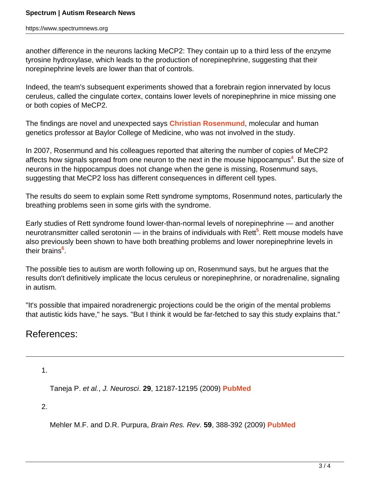another difference in the neurons lacking MeCP2: They contain up to a third less of the enzyme tyrosine hydroxylase, which leads to the production of norepinephrine, suggesting that their norepinephrine levels are lower than that of controls.

Indeed, the team's subsequent experiments showed that a forebrain region innervated by locus ceruleus, called the cingulate cortex, contains lower levels of norepinephrine in mice missing one or both copies of MeCP2.

The findings are novel and unexpected says **[Christian Rosenmund](http://www.bcm.edu/genetics/?pmid=11036)**, molecular and human genetics professor at Baylor College of Medicine, who was not involved in the study.

In 2007, Rosenmund and his colleagues reported that altering the number of copies of MeCP2 affects how signals spread from one neuron to the next in the mouse hippocampus**<sup>4</sup>** . But the size of neurons in the hippocampus does not change when the gene is missing, Rosenmund says, suggesting that MeCP2 loss has different consequences in different cell types.

The results do seem to explain some Rett syndrome symptoms, Rosenmund notes, particularly the breathing problems seen in some girls with the syndrome.

Early studies of Rett syndrome found lower-than-normal levels of norepinephrine — and another neurotransmitter called serotonin — in the brains of individuals with Rett<sup>5</sup>. Rett mouse models have also previously been shown to have both breathing problems and lower norepinephrine levels in their brains**<sup>6</sup>** .

The possible ties to autism are worth following up on, Rosenmund says, but he argues that the results don't definitively implicate the locus ceruleus or norepinephrine, or noradrenaline, signaling in autism.

"It's possible that impaired noradrenergic projections could be the origin of the mental problems that autistic kids have," he says. "But I think it would be far-fetched to say this study explains that."

# References:

1.

Taneja P. et al., J. Neurosci. **29**, 12187-12195 (2009) **[PubMed](http://www.ncbi.nlm.nih.gov/pubmed/19793977?itool=EntrezSystem2.PEntrez.Pubmed.Pubmed_ResultsPanel.Pubmed_RVDocSum&ordinalpos=1)**

2.

Mehler M.F. and D.R. Purpura, Brain Res. Rev. **59**, 388-392 (2009) **[PubMed](http://www.ncbi.nlm.nih.gov/pubmed/19059284?itool=EntrezSystem2.PEntrez.Pubmed.Pubmed_ResultsPanel.Pubmed_RVDocSum&ordinalpos=1)**